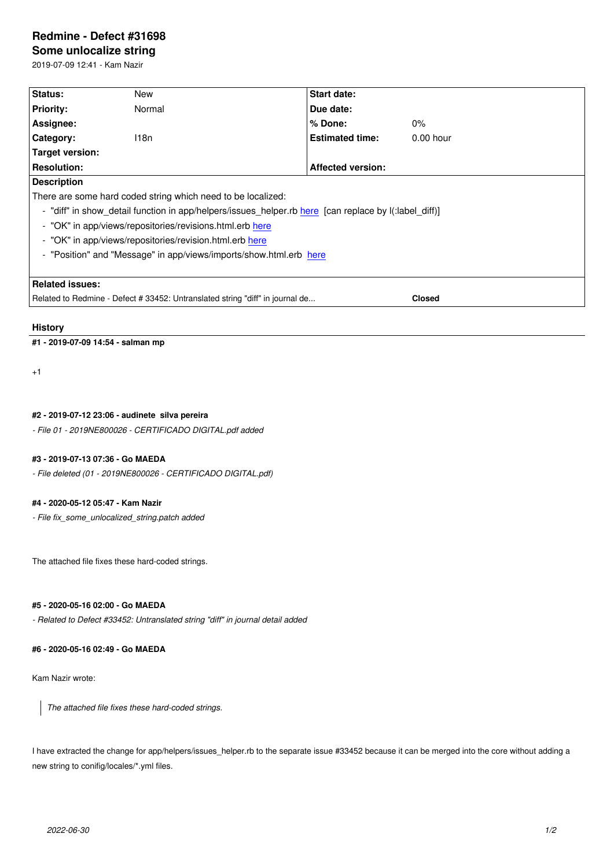#### **Some unlocalize string**

2019-07-09 12:41 - Kam Nazir

| Status:                                                                                               | New    | Start date:              |               |
|-------------------------------------------------------------------------------------------------------|--------|--------------------------|---------------|
| <b>Priority:</b>                                                                                      | Normal | Due date:                |               |
| Assignee:                                                                                             |        | $%$ Done:                | 0%            |
| Category:                                                                                             | 118n   | <b>Estimated time:</b>   | $0.00$ hour   |
| Target version:                                                                                       |        |                          |               |
| <b>Resolution:</b>                                                                                    |        | <b>Affected version:</b> |               |
| <b>Description</b>                                                                                    |        |                          |               |
| There are some hard coded string which need to be localized:                                          |        |                          |               |
| - "diff" in show_detail function in app/helpers/issues_helper.rb here [can replace by I(:label_diff)] |        |                          |               |
| - "OK" in app/views/repositories/revisions.html.erb here                                              |        |                          |               |
| - "OK" in app/views/repositories/revision.html.erb here                                               |        |                          |               |
| - "Position" and "Message" in app/views/imports/show.html.erb here                                    |        |                          |               |
|                                                                                                       |        |                          |               |
| Related issues:                                                                                       |        |                          |               |
| Related to Redmine - Defect # 33452: Untranslated string "diff" in journal de                         |        |                          | <b>Closed</b> |

### **History**

#### **#1 - 2019-07-09 14:54 - salman mp**

+1

## **#2 - 2019-07-12 23:06 - audinete silva pereira**

*- File 01 - 2019NE800026 - CERTIFICADO DIGITAL.pdf added*

#### **#3 - 2019-07-13 07:36 - Go MAEDA**

*- File deleted (01 - 2019NE800026 - CERTIFICADO DIGITAL.pdf)*

### **#4 - 2020-05-12 05:47 - Kam Nazir**

*- File fix\_some\_unlocalized\_string.patch added*

The attached file fixes these hard-coded strings.

#### **#5 - 2020-05-16 02:00 - Go MAEDA**

*- Related to Defect #33452: Untranslated string "diff" in journal detail added*

#### **#6 - 2020-05-16 02:49 - Go MAEDA**

Kam Nazir wrote:

*The attached file fixes these hard-coded strings.*

I have extracted the change for app/helpers/issues\_helper.rb to the separate issue #33452 because it can be merged into the core without adding a new string to conifig/locales/\*.yml files.